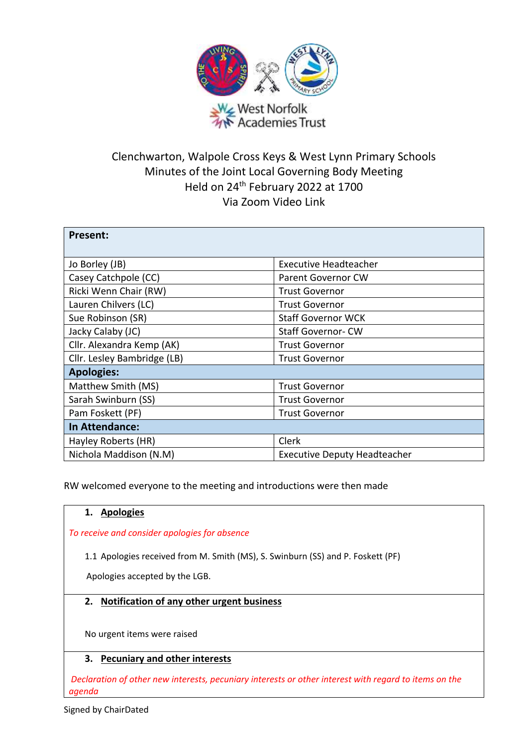

# Clenchwarton, Walpole Cross Keys & West Lynn Primary Schools Minutes of the Joint Local Governing Body Meeting Held on 24th February 2022 at 1700 Via Zoom Video Link

| <b>Present:</b>             |                                     |
|-----------------------------|-------------------------------------|
| Jo Borley (JB)              | <b>Executive Headteacher</b>        |
| Casey Catchpole (CC)        | <b>Parent Governor CW</b>           |
| Ricki Wenn Chair (RW)       | <b>Trust Governor</b>               |
| Lauren Chilvers (LC)        | <b>Trust Governor</b>               |
| Sue Robinson (SR)           | <b>Staff Governor WCK</b>           |
| Jacky Calaby (JC)           | <b>Staff Governor-CW</b>            |
| Cllr. Alexandra Kemp (AK)   | <b>Trust Governor</b>               |
| Cllr. Lesley Bambridge (LB) | <b>Trust Governor</b>               |
| <b>Apologies:</b>           |                                     |
| Matthew Smith (MS)          | <b>Trust Governor</b>               |
| Sarah Swinburn (SS)         | <b>Trust Governor</b>               |
| Pam Foskett (PF)            | <b>Trust Governor</b>               |
| In Attendance:              |                                     |
| Hayley Roberts (HR)         | Clerk                               |
| Nichola Maddison (N.M)      | <b>Executive Deputy Headteacher</b> |

RW welcomed everyone to the meeting and introductions were then made

# **1. Apologies**

*To receive and consider apologies for absence*

1.1 Apologies received from M. Smith (MS), S. Swinburn (SS) and P. Foskett (PF)

Apologies accepted by the LGB.

# **2. Notification of any other urgent business**

No urgent items were raised

# **3. Pecuniary and other interests**

*Declaration of other new interests, pecuniary interests or other interest with regard to items on the agenda*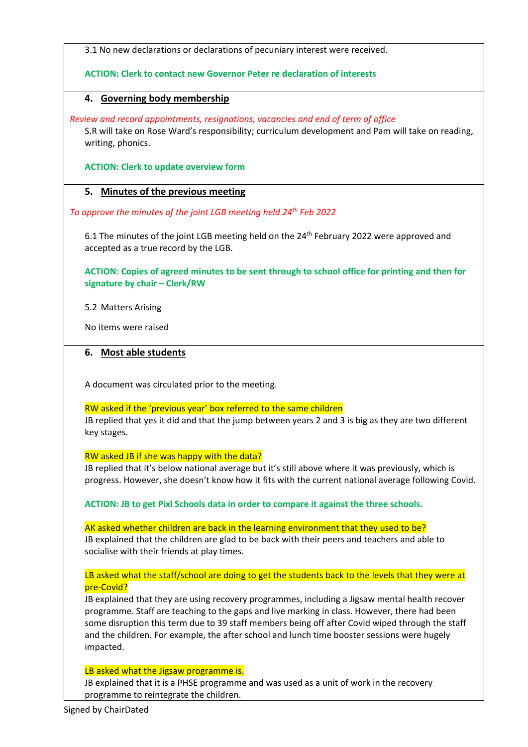3.1 No new declarations or declarations of pecuniary interest were received.

## **ACTION: Clerk to contact new Governor Peter re declaration of interests**

# **4. Governing body membership**

*Review and record appointments, resignations, vacancies and end of term of office* S.R will take on Rose Ward's responsibility; curriculum development and Pam will take on reading, writing, phonics.

**ACTION: Clerk to update overview form**

# **5. Minutes of the previous meeting**

*To approve the minutes of the joint LGB meeting held 24th Feb 2022*

6.1 The minutes of the joint LGB meeting held on the 24<sup>th</sup> February 2022 were approved and accepted as a true record by the LGB.

**ACTION: Copies of agreed minutes to be sent through to school office for printing and then for signature by chair – Clerk/RW**

5.2 Matters Arising

No items were raised

## **6. Most able students**

A document was circulated prior to the meeting.

## RW asked if the 'previous year' box referred to the same children

JB replied that yes it did and that the jump between years 2 and 3 is big as they are two different key stages.

RW asked JB if she was happy with the data?

JB replied that it's below national average but it's still above where it was previously, which is progress. However, she doesn't know how it fits with the current national average following Covid.

**ACTION: JB to get Pixl Schools data in order to compare it against the three schools.**

AK asked whether children are back in the learning environment that they used to be? JB explained that the children are glad to be back with their peers and teachers and able to socialise with their friends at play times.

LB asked what the staff/school are doing to get the students back to the levels that they were at pre-Covid?

JB explained that they are using recovery programmes, including a Jigsaw mental health recover programme. Staff are teaching to the gaps and live marking in class. However, there had been some disruption this term due to 39 staff members being off after Covid wiped through the staff and the children. For example, the after school and lunch time booster sessions were hugely impacted.

## LB asked what the Jigsaw programme is.

JB explained that it is a PHSE programme and was used as a unit of work in the recovery programme to reintegrate the children.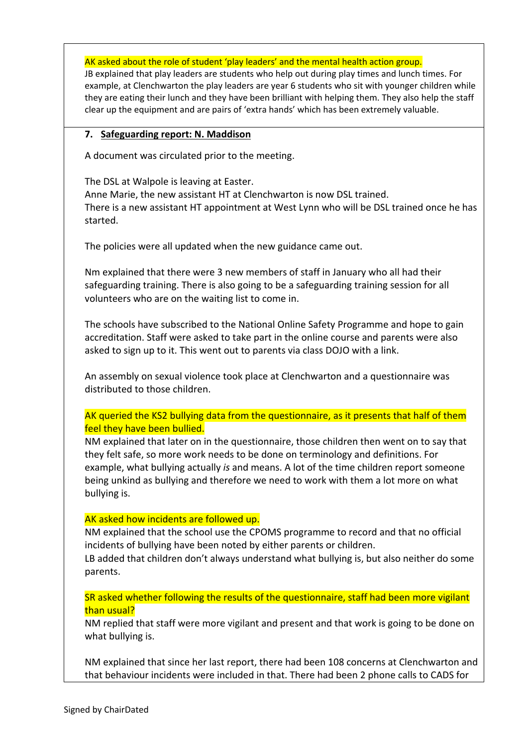AK asked about the role of student 'play leaders' and the mental health action group.

JB explained that play leaders are students who help out during play times and lunch times. For example, at Clenchwarton the play leaders are year 6 students who sit with younger children while they are eating their lunch and they have been brilliant with helping them. They also help the staff clear up the equipment and are pairs of 'extra hands' which has been extremely valuable.

## **7. Safeguarding report: N. Maddison**

A document was circulated prior to the meeting.

The DSL at Walpole is leaving at Easter.

Anne Marie, the new assistant HT at Clenchwarton is now DSL trained. There is a new assistant HT appointment at West Lynn who will be DSL trained once he has started.

The policies were all updated when the new guidance came out.

Nm explained that there were 3 new members of staff in January who all had their safeguarding training. There is also going to be a safeguarding training session for all volunteers who are on the waiting list to come in.

The schools have subscribed to the National Online Safety Programme and hope to gain accreditation. Staff were asked to take part in the online course and parents were also asked to sign up to it. This went out to parents via class DOJO with a link.

An assembly on sexual violence took place at Clenchwarton and a questionnaire was distributed to those children.

# AK queried the KS2 bullying data from the questionnaire, as it presents that half of them feel they have been bullied.

NM explained that later on in the questionnaire, those children then went on to say that they felt safe, so more work needs to be done on terminology and definitions. For example, what bullying actually *is* and means. A lot of the time children report someone being unkind as bullying and therefore we need to work with them a lot more on what bullying is.

# AK asked how incidents are followed up.

NM explained that the school use the CPOMS programme to record and that no official incidents of bullying have been noted by either parents or children.

LB added that children don't always understand what bullying is, but also neither do some parents.

SR asked whether following the results of the questionnaire, staff had been more vigilant than usual?

NM replied that staff were more vigilant and present and that work is going to be done on what bullying is.

NM explained that since her last report, there had been 108 concerns at Clenchwarton and that behaviour incidents were included in that. There had been 2 phone calls to CADS for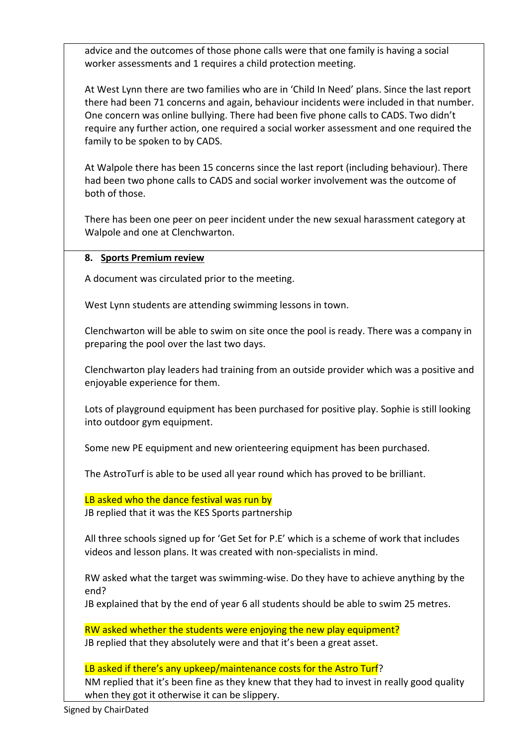advice and the outcomes of those phone calls were that one family is having a social worker assessments and 1 requires a child protection meeting.

At West Lynn there are two families who are in 'Child In Need' plans. Since the last report there had been 71 concerns and again, behaviour incidents were included in that number. One concern was online bullying. There had been five phone calls to CADS. Two didn't require any further action, one required a social worker assessment and one required the family to be spoken to by CADS.

At Walpole there has been 15 concerns since the last report (including behaviour). There had been two phone calls to CADS and social worker involvement was the outcome of both of those.

There has been one peer on peer incident under the new sexual harassment category at Walpole and one at Clenchwarton.

# **8. Sports Premium review**

A document was circulated prior to the meeting.

West Lynn students are attending swimming lessons in town.

Clenchwarton will be able to swim on site once the pool is ready. There was a company in preparing the pool over the last two days.

Clenchwarton play leaders had training from an outside provider which was a positive and enjoyable experience for them.

Lots of playground equipment has been purchased for positive play. Sophie is still looking into outdoor gym equipment.

Some new PE equipment and new orienteering equipment has been purchased.

The AstroTurf is able to be used all year round which has proved to be brilliant.

LB asked who the dance festival was run by

JB replied that it was the KES Sports partnership

All three schools signed up for 'Get Set for P.E' which is a scheme of work that includes videos and lesson plans. It was created with non-specialists in mind.

RW asked what the target was swimming-wise. Do they have to achieve anything by the end?

JB explained that by the end of year 6 all students should be able to swim 25 metres.

RW asked whether the students were enjoying the new play equipment? JB replied that they absolutely were and that it's been a great asset.

LB asked if there's any upkeep/maintenance costs for the Astro Turf? NM replied that it's been fine as they knew that they had to invest in really good quality when they got it otherwise it can be slippery.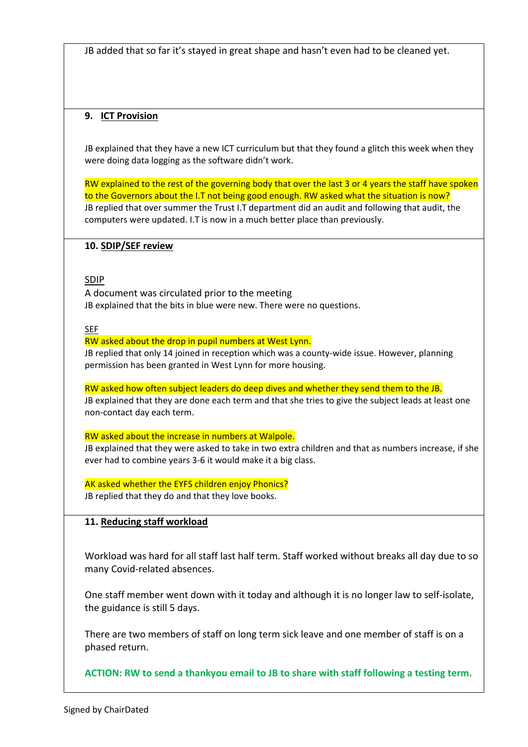JB added that so far it's stayed in great shape and hasn't even had to be cleaned yet.

# **9. ICT Provision**

JB explained that they have a new ICT curriculum but that they found a glitch this week when they were doing data logging as the software didn't work.

RW explained to the rest of the governing body that over the last 3 or 4 years the staff have spoken to the Governors about the I.T not being good enough. RW asked what the situation is now? JB replied that over summer the Trust I.T department did an audit and following that audit, the computers were updated. I.T is now in a much better place than previously.

# **10. SDIP/SEF review**

# SDIP

A document was circulated prior to the meeting JB explained that the bits in blue were new. There were no questions.

SEF

#### RW asked about the drop in pupil numbers at West Lynn.

JB replied that only 14 joined in reception which was a county-wide issue. However, planning permission has been granted in West Lynn for more housing.

## RW asked how often subject leaders do deep dives and whether they send them to the JB.

JB explained that they are done each term and that she tries to give the subject leads at least one non-contact day each term.

## RW asked about the increase in numbers at Walpole.

JB explained that they were asked to take in two extra children and that as numbers increase, if she ever had to combine years 3-6 it would make it a big class.

AK asked whether the EYFS children enjoy Phonics? JB replied that they do and that they love books.

## **11. Reducing staff workload**

Workload was hard for all staff last half term. Staff worked without breaks all day due to so many Covid-related absences.

One staff member went down with it today and although it is no longer law to self-isolate, the guidance is still 5 days.

There are two members of staff on long term sick leave and one member of staff is on a phased return.

**ACTION: RW to send a thankyou email to JB to share with staff following a testing term.**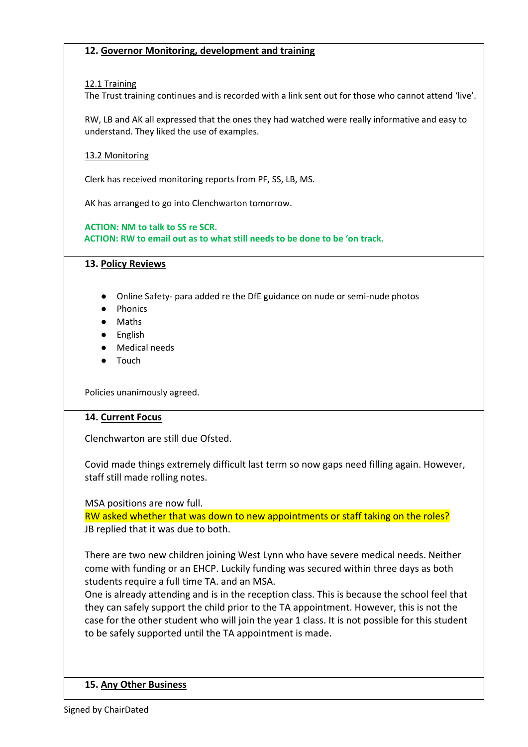## **12. Governor Monitoring, development and training**

## 12.1 Training

The Trust training continues and is recorded with a link sent out for those who cannot attend 'live'.

RW, LB and AK all expressed that the ones they had watched were really informative and easy to understand. They liked the use of examples.

## 13.2 Monitoring

Clerk has received monitoring reports from PF, SS, LB, MS.

AK has arranged to go into Clenchwarton tomorrow.

**ACTION: NM to talk to SS re SCR. ACTION: RW to email out as to what still needs to be done to be 'on track.**

## **13. Policy Reviews**

- Online Safety- para added re the DfE guidance on nude or semi-nude photos
- Phonics
- Maths
- English
- Medical needs
- Touch

Policies unanimously agreed.

## **14. Current Focus**

Clenchwarton are still due Ofsted.

Covid made things extremely difficult last term so now gaps need filling again. However, staff still made rolling notes.

MSA positions are now full.

RW asked whether that was down to new appointments or staff taking on the roles? JB replied that it was due to both.

There are two new children joining West Lynn who have severe medical needs. Neither come with funding or an EHCP. Luckily funding was secured within three days as both students require a full time TA. and an MSA.

One is already attending and is in the reception class. This is because the school feel that they can safely support the child prior to the TA appointment. However, this is not the case for the other student who will join the year 1 class. It is not possible for this student to be safely supported until the TA appointment is made.

## **15. Any Other Business**